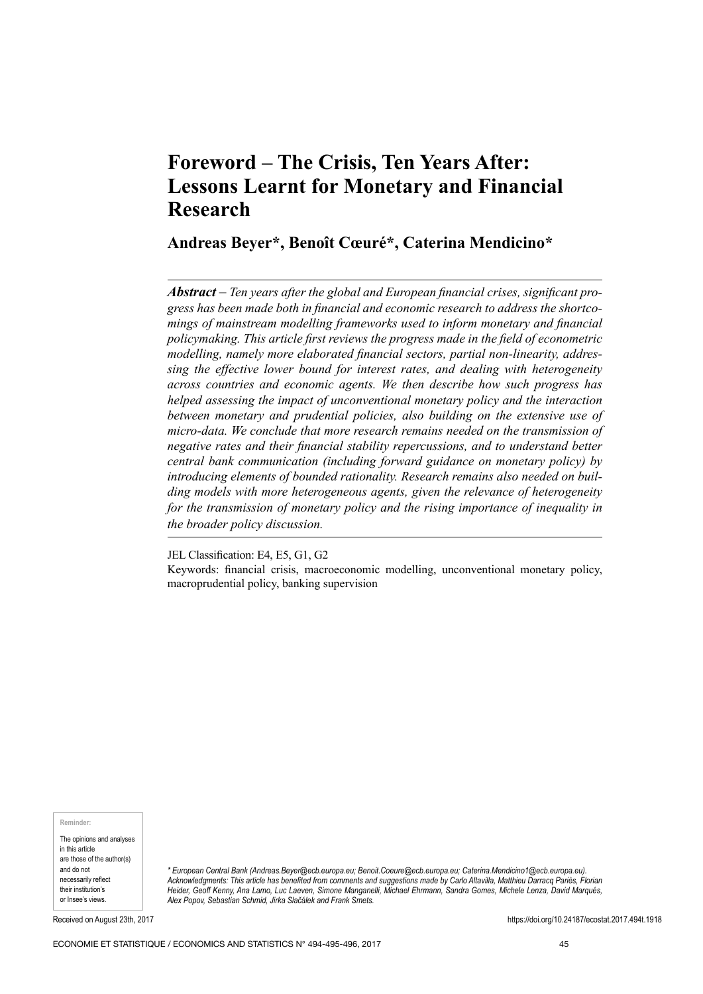# **Foreword ‒ The Crisis, Ten Years After: Lessons Learnt for Monetary and Financial Research**

# **Andreas Beyer\*, Benoît Cœuré\*, Caterina Mendicino\***

*Abstract* – *Ten years after the global and European financial crises, significant progress has been made both in financial and economic research to address the shortcomings of mainstream modelling frameworks used to inform monetary and financial policymaking. This article first reviews the progress made in the field of econometric modelling, namely more elaborated financial sectors, partial non‑linearity, addressing the effective lower bound for interest rates, and dealing with heterogeneity across countries and economic agents. We then describe how such progress has helped assessing the impact of unconventional monetary policy and the interaction between monetary and prudential policies, also building on the extensive use of micro‑data. We conclude that more research remains needed on the transmission of negative rates and their financial stability repercussions, and to understand better central bank communication (including forward guidance on monetary policy) by introducing elements of bounded rationality. Research remains also needed on building models with more heterogeneous agents, given the relevance of heterogeneity for the transmission of monetary policy and the rising importance of inequality in the broader policy discussion.*

JEL Classification: E4, E5, G1, G2 Keywords: financial crisis, macroeconomic modelling, unconventional monetary policy, macroprudential policy, banking supervision

**Reminder:**

The opinions and analyses in this article are those of the author(s) and do not necessarily reflect their institution's or Insee's views.

*\* European Central Bank (An[dreas.Beyer@ecb.europa.eu; B](mailto:Andreas.Beyer@ecb.europa.eu)e[noit.Coeure@ecb.europa.eu; Ca](mailto:Benoit.Coeure@ecb.europa.eu)[terina.Mendicino1@ecb.europa.eu\).](mailto:Caterina.Mendicino1@ecb.europa.eu) Acknowledgments: This article has benefited from comments and suggestions made by Carlo Altavilla, Matthieu Darracq Pariès, Florian Heider, Geoff Kenny, Ana Lamo, Luc Laeven, Simone Manganelli, Michael Ehrmann, Sandra Gomes, Michele Lenza, David Marqués, Alex Popov, Sebastian Schmid, Jirka Slačálek and Frank Smets.*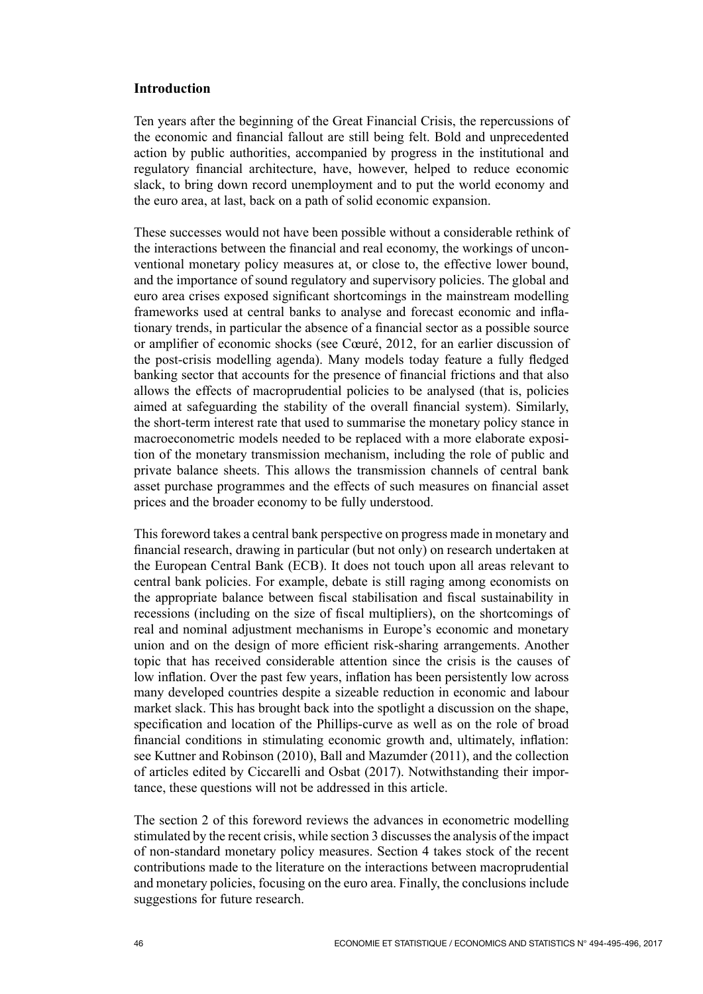# **Introduction**

Ten years after the beginning of the Great Financial Crisis, the repercussions of the economic and financial fallout are still being felt. Bold and unprecedented action by public authorities, accompanied by progress in the institutional and regulatory financial architecture, have, however, helped to reduce economic slack, to bring down record unemployment and to put the world economy and the euro area, at last, back on a path of solid economic expansion.

These successes would not have been possible without a considerable rethink of the interactions between the financial and real economy, the workings of unconventional monetary policy measures at, or close to, the effective lower bound, and the importance of sound regulatory and supervisory policies. The global and euro area crises exposed significant shortcomings in the mainstream modelling frameworks used at central banks to analyse and forecast economic and inflationary trends, in particular the absence of a financial sector as a possible source or amplifier of economic shocks (see Cœuré, 2012, for an earlier discussion of the post-crisis modelling agenda). Many models today feature a fully fledged banking sector that accounts for the presence of financial frictions and that also allows the effects of macroprudential policies to be analysed (that is, policies aimed at safeguarding the stability of the overall financial system). Similarly, the short-term interest rate that used to summarise the monetary policy stance in macroeconometric models needed to be replaced with a more elaborate exposition of the monetary transmission mechanism, including the role of public and private balance sheets. This allows the transmission channels of central bank asset purchase programmes and the effects of such measures on financial asset prices and the broader economy to be fully understood.

This foreword takes a central bank perspective on progress made in monetary and financial research, drawing in particular (but not only) on research undertaken at the European Central Bank (ECB). It does not touch upon all areas relevant to central bank policies. For example, debate is still raging among economists on the appropriate balance between fiscal stabilisation and fiscal sustainability in recessions (including on the size of fiscal multipliers), on the shortcomings of real and nominal adjustment mechanisms in Europe's economic and monetary union and on the design of more efficient risk-sharing arrangements. Another topic that has received considerable attention since the crisis is the causes of low inflation. Over the past few years, inflation has been persistently low across many developed countries despite a sizeable reduction in economic and labour market slack. This has brought back into the spotlight a discussion on the shape, specification and location of the Phillips-curve as well as on the role of broad financial conditions in stimulating economic growth and, ultimately, inflation: see Kuttner and Robinson (2010), Ball and Mazumder (2011), and the collection of articles edited by Ciccarelli and Osbat (2017). Notwithstanding their importance, these questions will not be addressed in this article.

The section 2 of this foreword reviews the advances in econometric modelling stimulated by the recent crisis, while section 3 discusses the analysis of the impact of non‑standard monetary policy measures. Section 4 takes stock of the recent contributions made to the literature on the interactions between macroprudential and monetary policies, focusing on the euro area. Finally, the conclusions include suggestions for future research.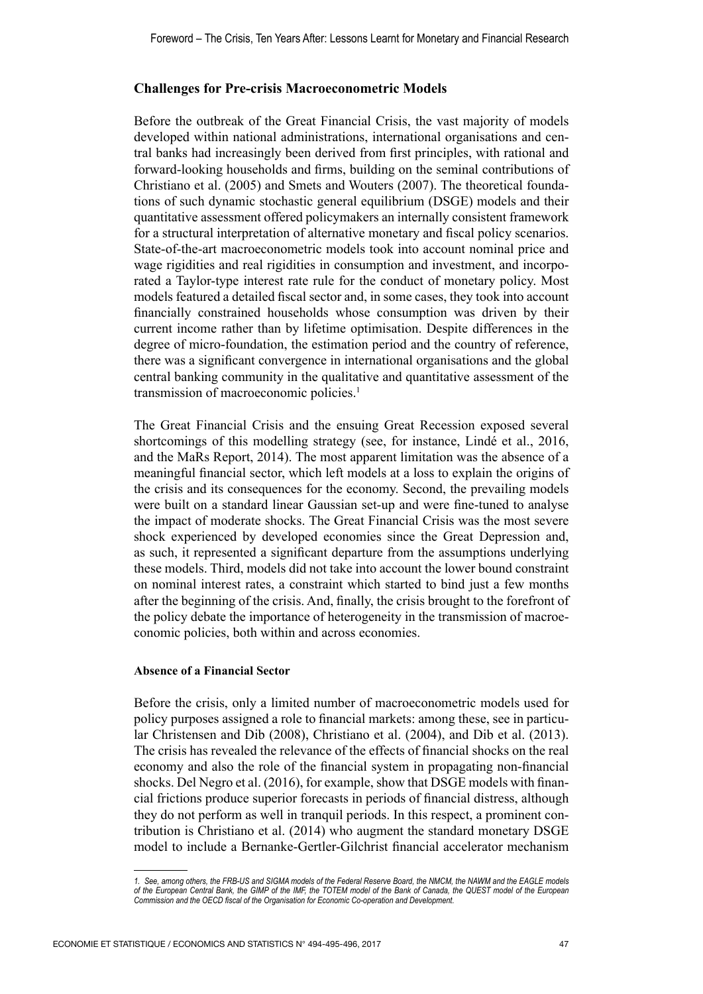## **Challenges for Pre‑crisis Macroeconometric Models**

Before the outbreak of the Great Financial Crisis, the vast majority of models developed within national administrations, international organisations and central banks had increasingly been derived from first principles, with rational and forward‑looking households and firms, building on the seminal contributions of Christiano et al. (2005) and Smets and Wouters (2007). The theoretical foundations of such dynamic stochastic general equilibrium (DSGE) models and their quantitative assessment offered policymakers an internally consistent framework for a structural interpretation of alternative monetary and fiscal policy scenarios. State–of-the–art macroeconometric models took into account nominal price and wage rigidities and real rigidities in consumption and investment, and incorporated a Taylor-type interest rate rule for the conduct of monetary policy. Most models featured a detailed fiscal sector and, in some cases, they took into account financially constrained households whose consumption was driven by their current income rather than by lifetime optimisation. Despite differences in the degree of micro‑foundation, the estimation period and the country of reference, there was a significant convergence in international organisations and the global central banking community in the qualitative and quantitative assessment of the transmission of macroeconomic policies.<sup>1</sup>

The Great Financial Crisis and the ensuing Great Recession exposed several shortcomings of this modelling strategy (see, for instance, Lindé et al., 2016, and the MaRs Report, 2014). The most apparent limitation was the absence of a meaningful financial sector, which left models at a loss to explain the origins of the crisis and its consequences for the economy. Second, the prevailing models were built on a standard linear Gaussian set-up and were fine-tuned to analyse the impact of moderate shocks. The Great Financial Crisis was the most severe shock experienced by developed economies since the Great Depression and, as such, it represented a significant departure from the assumptions underlying these models. Third, models did not take into account the lower bound constraint on nominal interest rates, a constraint which started to bind just a few months after the beginning of the crisis. And, finally, the crisis brought to the forefront of the policy debate the importance of heterogeneity in the transmission of macroeconomic policies, both within and across economies.

## **Absence of a Financial Sector**

Before the crisis, only a limited number of macroeconometric models used for policy purposes assigned a role to financial markets: among these, see in particular Christensen and Dib (2008), Christiano et al. (2004), and Dib et al. (2013). The crisis has revealed the relevance of the effects of financial shocks on the real economy and also the role of the financial system in propagating non-financial shocks. Del Negro et al. (2016), for example, show that DSGE models with financial frictions produce superior forecasts in periods of financial distress, although they do not perform as well in tranquil periods. In this respect, a prominent contribution is Christiano et al. (2014) who augment the standard monetary DSGE model to include a Bernanke‑Gertler‑Gilchrist financial accelerator mechanism

*<sup>1.</sup> See, among others, the FRB‑US and SIGMA models of the Federal Reserve Board, the NMCM, the NAWM and the EAGLE models of the European Central Bank, the GIMP of the IMF, the TOTEM model of the Bank of Canada, the QUEST model of the European Commission and the OECD fiscal of the Organisation for Economic Co‑operation and Development.*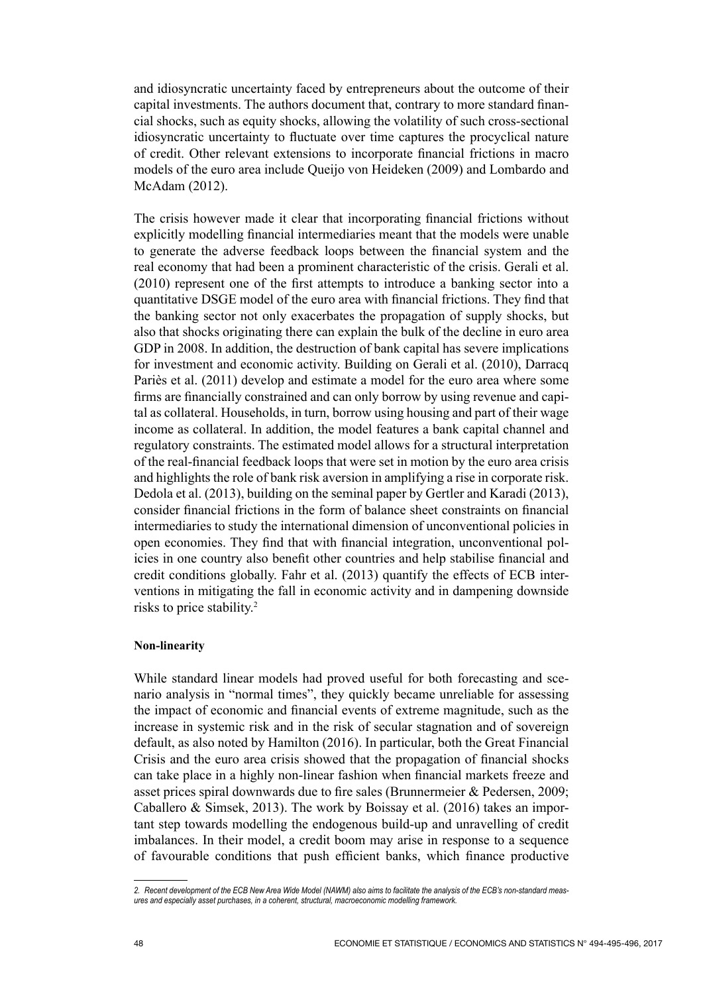and idiosyncratic uncertainty faced by entrepreneurs about the outcome of their capital investments. The authors document that, contrary to more standard financial shocks, such as equity shocks, allowing the volatility of such cross‑sectional idiosyncratic uncertainty to fluctuate over time captures the procyclical nature of credit. Other relevant extensions to incorporate financial frictions in macro models of the euro area include Queijo von Heideken (2009) and Lombardo and McAdam (2012).

The crisis however made it clear that incorporating financial frictions without explicitly modelling financial intermediaries meant that the models were unable to generate the adverse feedback loops between the financial system and the real economy that had been a prominent characteristic of the crisis. Gerali et al. (2010) represent one of the first attempts to introduce a banking sector into a quantitative DSGE model of the euro area with financial frictions. They find that the banking sector not only exacerbates the propagation of supply shocks, but also that shocks originating there can explain the bulk of the decline in euro area GDP in 2008. In addition, the destruction of bank capital has severe implications for investment and economic activity. Building on Gerali et al. (2010), Darracq Pariès et al. (2011) develop and estimate a model for the euro area where some firms are financially constrained and can only borrow by using revenue and capital as collateral. Households, in turn, borrow using housing and part of their wage income as collateral. In addition, the model features a bank capital channel and regulatory constraints. The estimated model allows for a structural interpretation of the real‑financial feedback loops that were set in motion by the euro area crisis and highlights the role of bank risk aversion in amplifying a rise in corporate risk. Dedola et al. (2013), building on the seminal paper by Gertler and Karadi (2013), consider financial frictions in the form of balance sheet constraints on financial intermediaries to study the international dimension of unconventional policies in open economies. They find that with financial integration, unconventional policies in one country also benefit other countries and help stabilise financial and credit conditions globally. Fahr et al. (2013) quantify the effects of ECB interventions in mitigating the fall in economic activity and in dampening downside risks to price stability.2

## **Non‑linearity**

While standard linear models had proved useful for both forecasting and scenario analysis in "normal times", they quickly became unreliable for assessing the impact of economic and financial events of extreme magnitude, such as the increase in systemic risk and in the risk of secular stagnation and of sovereign default, as also noted by Hamilton (2016). In particular, both the Great Financial Crisis and the euro area crisis showed that the propagation of financial shocks can take place in a highly non-linear fashion when financial markets freeze and asset prices spiral downwards due to fire sales (Brunnermeier & Pedersen, 2009; Caballero & Simsek, 2013). The work by Boissay et al. (2016) takes an important step towards modelling the endogenous build‑up and unravelling of credit imbalances. In their model, a credit boom may arise in response to a sequence of favourable conditions that push efficient banks, which finance productive

*<sup>2.</sup> Recent development of the ECB New Area Wide Model (NAWM) also aims to facilitate the analysis of the ECB's non‑standard meas‑ ures and especially asset purchases, in a coherent, structural, macroeconomic modelling framework.*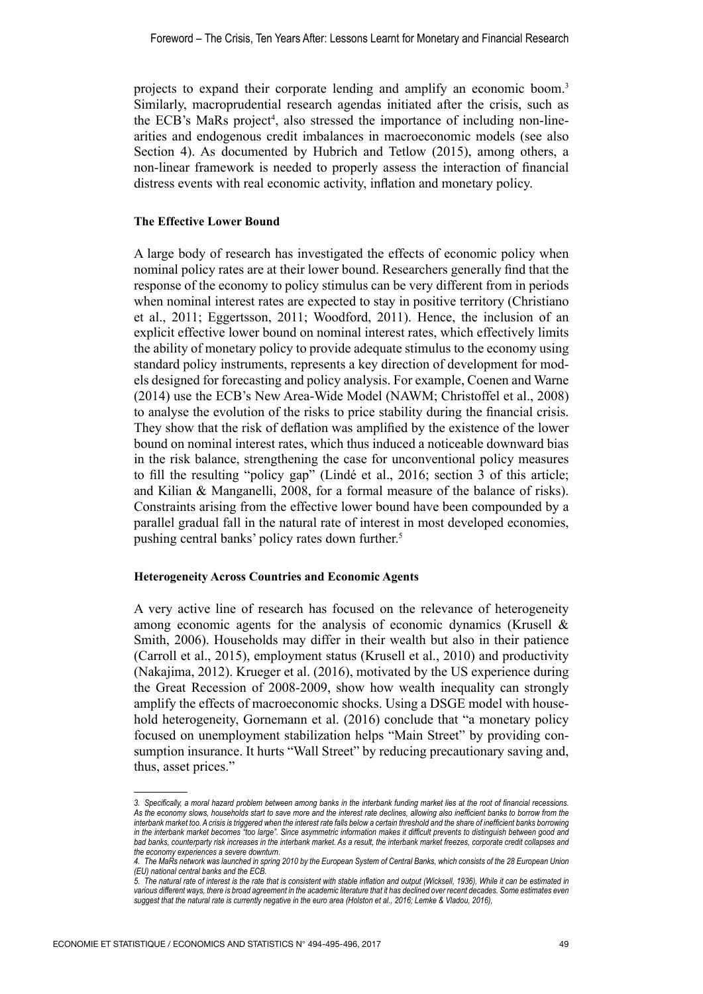projects to expand their corporate lending and amplify an economic boom.3 Similarly, macroprudential research agendas initiated after the crisis, such as the ECB's MaRs project<sup>4</sup>, also stressed the importance of including non-linearities and endogenous credit imbalances in macroeconomic models (see also Section 4). As documented by Hubrich and Tetlow (2015), among others, a non‑linear framework is needed to properly assess the interaction of financial distress events with real economic activity, inflation and monetary policy.

#### **The Effective Lower Bound**

A large body of research has investigated the effects of economic policy when nominal policy rates are at their lower bound. Researchers generally find that the response of the economy to policy stimulus can be very different from in periods when nominal interest rates are expected to stay in positive territory (Christiano et al., 2011; Eggertsson, 2011; Woodford, 2011). Hence, the inclusion of an explicit effective lower bound on nominal interest rates, which effectively limits the ability of monetary policy to provide adequate stimulus to the economy using standard policy instruments, represents a key direction of development for models designed for forecasting and policy analysis. For example, Coenen and Warne (2014) use the ECB's New Area‑Wide Model (NAWM; Christoffel et al., 2008) to analyse the evolution of the risks to price stability during the financial crisis. They show that the risk of deflation was amplified by the existence of the lower bound on nominal interest rates, which thus induced a noticeable downward bias in the risk balance, strengthening the case for unconventional policy measures to fill the resulting "policy gap" (Lindé et al., 2016; section 3 of this article; and Kilian & Manganelli, 2008, for a formal measure of the balance of risks). Constraints arising from the effective lower bound have been compounded by a parallel gradual fall in the natural rate of interest in most developed economies, pushing central banks' policy rates down further.<sup>5</sup>

#### **Heterogeneity Across Countries and Economic Agents**

A very active line of research has focused on the relevance of heterogeneity among economic agents for the analysis of economic dynamics (Krusell & Smith, 2006). Households may differ in their wealth but also in their patience (Carroll et al., 2015), employment status (Krusell et al., 2010) and productivity (Nakajima, 2012). Krueger et al. (2016), motivated by the US experience during the Great Recession of 2008‑2009, show how wealth inequality can strongly amplify the effects of macroeconomic shocks. Using a DSGE model with household heterogeneity, Gornemann et al. (2016) conclude that "a monetary policy focused on unemployment stabilization helps "Main Street" by providing consumption insurance. It hurts "Wall Street" by reducing precautionary saving and, thus, asset prices."

*<sup>3.</sup> Specifically, a moral hazard problem between among banks in the interbank funding market lies at the root of financial recessions.*  As the economy slows, households start to save more and the interest rate declines, allowing also inefficient banks to borrow from the *interbank market too. A crisis is triggered when the interest rate falls below a certain threshold and the share of inefficient banks borrowing in the interbank market becomes "too large". Since asymmetric information makes it difficult prevents to distinguish between good and*  bad banks, counterparty risk increases in the interbank market. As a result, the interbank market freezes, corporate credit collapses and *the economy experiences a severe downturn.*

*<sup>4.</sup> The MaRs network was launched in spring 2010 by the European System of Central Banks, which consists of the 28 European Union (EU) national central banks and the ECB.*

*<sup>5.</sup> The natural rate of interest is the rate that is consistent with stable inflation and output (Wicksell, 1936), While it can be estimated in*  various different ways, there is broad agreement in the academic literature that it has declined over recent decades. Some estimates even *suggest that the natural rate is currently negative in the euro area (Holston et al., 2016; Lemke & Vladou, 2016),*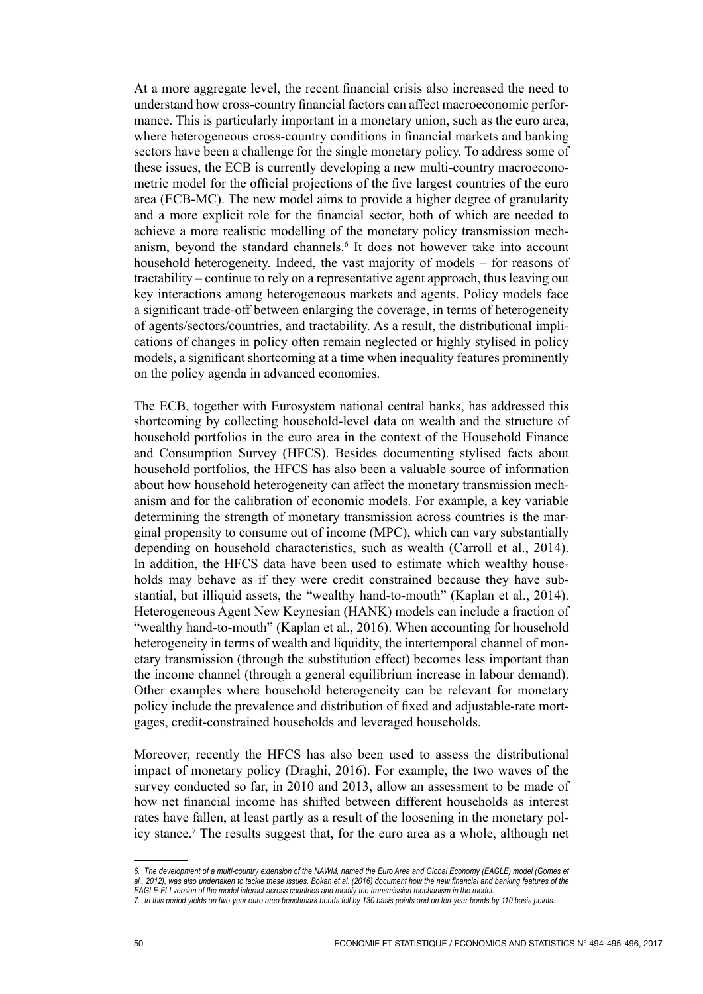At a more aggregate level, the recent financial crisis also increased the need to understand how cross‑country financial factors can affect macroeconomic performance. This is particularly important in a monetary union, such as the euro area, where heterogeneous cross-country conditions in financial markets and banking sectors have been a challenge for the single monetary policy. To address some of these issues, the ECB is currently developing a new multi‑country macroeconometric model for the official projections of the five largest countries of the euro area (ECB‑MC). The new model aims to provide a higher degree of granularity and a more explicit role for the financial sector, both of which are needed to achieve a more realistic modelling of the monetary policy transmission mechanism, beyond the standard channels.<sup>6</sup> It does not however take into account household heterogeneity. Indeed, the vast majority of models – for reasons of tractability – continue to rely on a representative agent approach, thus leaving out key interactions among heterogeneous markets and agents. Policy models face a significant trade‑off between enlarging the coverage, in terms of heterogeneity of agents/sectors/countries, and tractability. As a result, the distributional implications of changes in policy often remain neglected or highly stylised in policy models, a significant shortcoming at a time when inequality features prominently on the policy agenda in advanced economies.

The ECB, together with Eurosystem national central banks, has addressed this shortcoming by collecting household-level data on wealth and the structure of household portfolios in the euro area in the context of the Household Finance and Consumption Survey (HFCS). Besides documenting stylised facts about household portfolios, the HFCS has also been a valuable source of information about how household heterogeneity can affect the monetary transmission mechanism and for the calibration of economic models. For example, a key variable determining the strength of monetary transmission across countries is the marginal propensity to consume out of income (MPC), which can vary substantially depending on household characteristics, such as wealth (Carroll et al., 2014). In addition, the HFCS data have been used to estimate which wealthy households may behave as if they were credit constrained because they have substantial, but illiquid assets, the "wealthy hand-to-mouth" (Kaplan et al., 2014). Heterogeneous Agent New Keynesian (HANK) models can include a fraction of "wealthy hand-to-mouth" (Kaplan et al., 2016). When accounting for household heterogeneity in terms of wealth and liquidity, the intertemporal channel of monetary transmission (through the substitution effect) becomes less important than the income channel (through a general equilibrium increase in labour demand). Other examples where household heterogeneity can be relevant for monetary policy include the prevalence and distribution of fixed and adjustable-rate mortgages, credit‑constrained households and leveraged households.

Moreover, recently the HFCS has also been used to assess the distributional impact of monetary policy (Draghi, 2016). For example, the two waves of the survey conducted so far, in 2010 and 2013, allow an assessment to be made of how net financial income has shifted between different households as interest rates have fallen, at least partly as a result of the loosening in the monetary policy stance.7 The results suggest that, for the euro area as a whole, although net

*<sup>6.</sup> The development of a multi‑country extension of the NAWM, named the Euro Area and Global Economy (EAGLE) model (Gomes et* 

*al., 2012), was also undertaken to tackle these issues. Bokan et al. (2016) document how the new financial and banking features of the EAGLE‑FLI version of the model interact across countries and modify the transmission mechanism in the model.*

*<sup>7.</sup> In this period yields on two‑year euro area benchmark bonds fell by 130 basis points and on ten‑year bonds by 110 basis points.*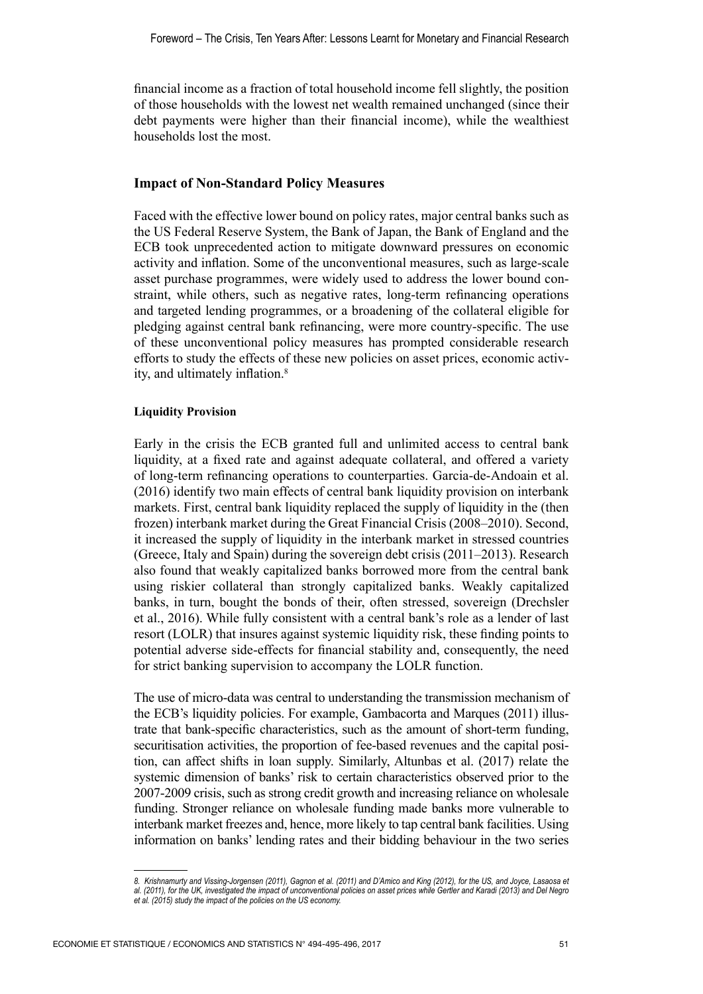financial income as a fraction of total household income fell slightly, the position of those households with the lowest net wealth remained unchanged (since their debt payments were higher than their financial income), while the wealthiest households lost the most.

## **Impact of Non‑Standard Policy Measures**

Faced with the effective lower bound on policy rates, major central banks such as the US Federal Reserve System, the Bank of Japan, the Bank of England and the ECB took unprecedented action to mitigate downward pressures on economic activity and inflation. Some of the unconventional measures, such as large-scale asset purchase programmes, were widely used to address the lower bound constraint, while others, such as negative rates, long‑term refinancing operations and targeted lending programmes, or a broadening of the collateral eligible for pledging against central bank refinancing, were more country‑specific. The use of these unconventional policy measures has prompted considerable research efforts to study the effects of these new policies on asset prices, economic activity, and ultimately inflation.8

## **Liquidity Provision**

Early in the crisis the ECB granted full and unlimited access to central bank liquidity, at a fixed rate and against adequate collateral, and offered a variety of long‑term refinancing operations to counterparties. Garcia‑de‑Andoain et al. (2016) identify two main effects of central bank liquidity provision on interbank markets. First, central bank liquidity replaced the supply of liquidity in the (then frozen) interbank market during the Great Financial Crisis (2008–2010). Second, it increased the supply of liquidity in the interbank market in stressed countries (Greece, Italy and Spain) during the sovereign debt crisis (2011–2013). Research also found that weakly capitalized banks borrowed more from the central bank using riskier collateral than strongly capitalized banks. Weakly capitalized banks, in turn, bought the bonds of their, often stressed, sovereign (Drechsler et al., 2016). While fully consistent with a central bank's role as a lender of last resort (LOLR) that insures against systemic liquidity risk, these finding points to potential adverse side‑effects for financial stability and, consequently, the need for strict banking supervision to accompany the LOLR function.

The use of micro-data was central to understanding the transmission mechanism of the ECB's liquidity policies. For example, Gambacorta and Marques (2011) illustrate that bank-specific characteristics, such as the amount of short-term funding, securitisation activities, the proportion of fee-based revenues and the capital position, can affect shifts in loan supply. Similarly, Altunbas et al. (2017) relate the systemic dimension of banks' risk to certain characteristics observed prior to the 2007‑2009 crisis, such as strong credit growth and increasing reliance on wholesale funding. Stronger reliance on wholesale funding made banks more vulnerable to interbank market freezes and, hence, more likely to tap central bank facilities. Using information on banks' lending rates and their bidding behaviour in the two series

*<sup>8.</sup> Krishnamurty and Vissing‑Jorgensen (2011), Gagnon et al. (2011) and D'Amico and King (2012), for the US, and Joyce, Lasaosa et al. (2011), for the UK, investigated the impact of unconventional policies on asset prices while Gertler and Karadi (2013) and Del Negro et al. (2015) study the impact of the policies on the US economy.*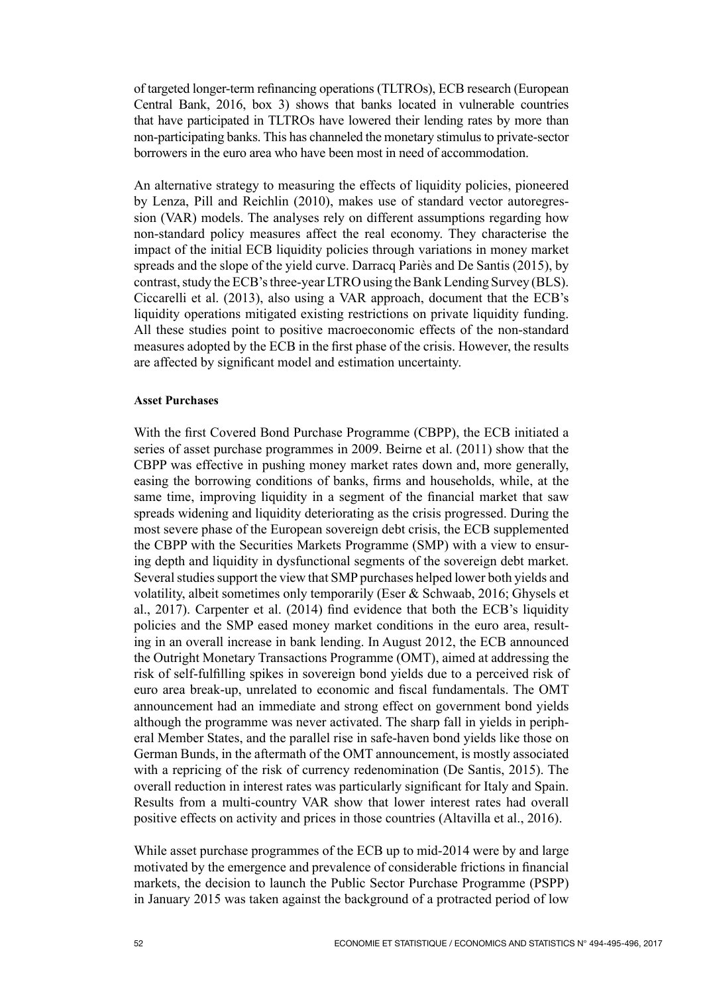of targeted longer‑term refinancing operations (TLTROs), ECB research (European Central Bank, 2016, box 3) shows that banks located in vulnerable countries that have participated in TLTROs have lowered their lending rates by more than non‑participating banks. This has channeled the monetary stimulus to private‑sector borrowers in the euro area who have been most in need of accommodation.

An alternative strategy to measuring the effects of liquidity policies, pioneered by Lenza, Pill and Reichlin (2010), makes use of standard vector autoregression (VAR) models. The analyses rely on different assumptions regarding how non‑standard policy measures affect the real economy. They characterise the impact of the initial ECB liquidity policies through variations in money market spreads and the slope of the yield curve. Darracq Pariès and De Santis (2015), by contrast, study the ECB's three-year LTRO using the Bank Lending Survey (BLS). Ciccarelli et al. (2013), also using a VAR approach, document that the ECB's liquidity operations mitigated existing restrictions on private liquidity funding. All these studies point to positive macroeconomic effects of the non-standard measures adopted by the ECB in the first phase of the crisis. However, the results are affected by significant model and estimation uncertainty.

#### **Asset Purchases**

With the first Covered Bond Purchase Programme (CBPP), the ECB initiated a series of asset purchase programmes in 2009. Beirne et al. (2011) show that the CBPP was effective in pushing money market rates down and, more generally, easing the borrowing conditions of banks, firms and households, while, at the same time, improving liquidity in a segment of the financial market that saw spreads widening and liquidity deteriorating as the crisis progressed. During the most severe phase of the European sovereign debt crisis, the ECB supplemented the CBPP with the Securities Markets Programme (SMP) with a view to ensuring depth and liquidity in dysfunctional segments of the sovereign debt market. Several studies support the view that SMP purchases helped lower both yields and volatility, albeit sometimes only temporarily (Eser & Schwaab, 2016; Ghysels et al., 2017). Carpenter et al. (2014) find evidence that both the ECB's liquidity policies and the SMP eased money market conditions in the euro area, resulting in an overall increase in bank lending. In August 2012, the ECB announced the Outright Monetary Transactions Programme (OMT), aimed at addressing the risk of self‑fulfilling spikes in sovereign bond yields due to a perceived risk of euro area break‑up, unrelated to economic and fiscal fundamentals. The OMT announcement had an immediate and strong effect on government bond yields although the programme was never activated. The sharp fall in yields in peripheral Member States, and the parallel rise in safe‑haven bond yields like those on German Bunds, in the aftermath of the OMT announcement, is mostly associated with a repricing of the risk of currency redenomination (De Santis, 2015). The overall reduction in interest rates was particularly significant for Italy and Spain. Results from a multi-country VAR show that lower interest rates had overall positive effects on activity and prices in those countries (Altavilla et al., 2016).

While asset purchase programmes of the ECB up to mid-2014 were by and large motivated by the emergence and prevalence of considerable frictions in financial markets, the decision to launch the Public Sector Purchase Programme (PSPP) in January 2015 was taken against the background of a protracted period of low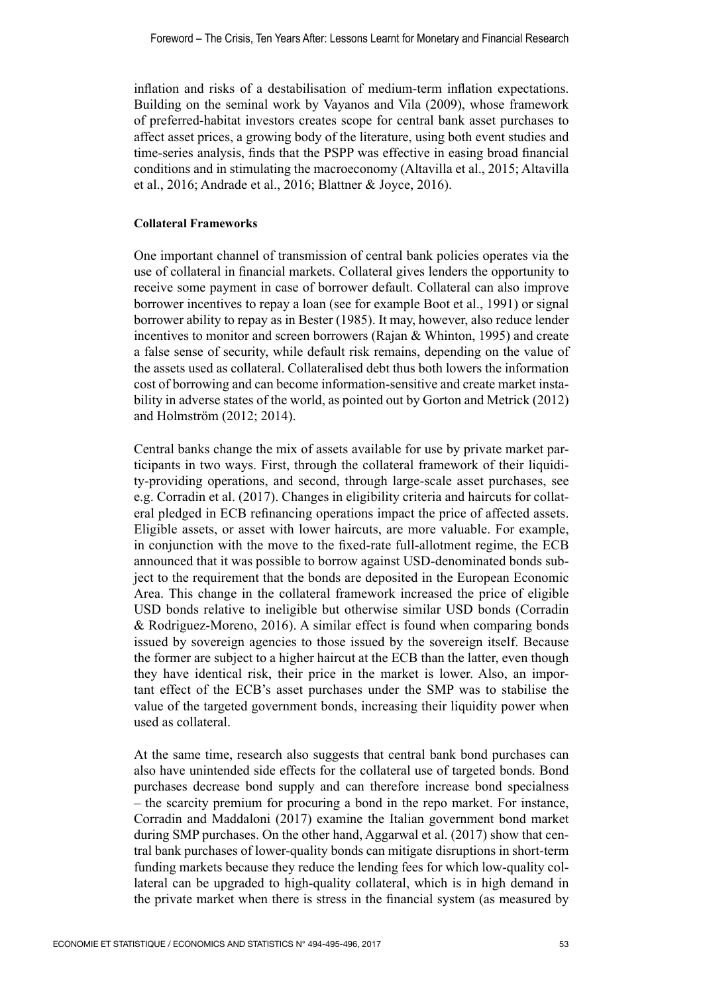inflation and risks of a destabilisation of medium‑term inflation expectations. Building on the seminal work by Vayanos and Vila (2009), whose framework of preferred‑habitat investors creates scope for central bank asset purchases to affect asset prices, a growing body of the literature, using both event studies and time‑series analysis, finds that the PSPP was effective in easing broad financial conditions and in stimulating the macroeconomy (Altavilla et al., 2015; Altavilla et al., 2016; Andrade et al., 2016; Blattner & Joyce, 2016).

## **Collateral Frameworks**

One important channel of transmission of central bank policies operates via the use of collateral in financial markets. Collateral gives lenders the opportunity to receive some payment in case of borrower default. Collateral can also improve borrower incentives to repay a loan (see for example Boot et al., 1991) or signal borrower ability to repay as in Bester (1985). It may, however, also reduce lender incentives to monitor and screen borrowers (Rajan & Whinton, 1995) and create a false sense of security, while default risk remains, depending on the value of the assets used as collateral. Collateralised debt thus both lowers the information cost of borrowing and can become information-sensitive and create market instability in adverse states of the world, as pointed out by Gorton and Metrick (2012) and Holmström (2012; 2014).

Central banks change the mix of assets available for use by private market participants in two ways. First, through the collateral framework of their liquidity-providing operations, and second, through large-scale asset purchases, see e.g. Corradin et al. (2017). Changes in eligibility criteria and haircuts for collateral pledged in ECB refinancing operations impact the price of affected assets. Eligible assets, or asset with lower haircuts, are more valuable. For example, in conjunction with the move to the fixed-rate full-allotment regime, the ECB announced that it was possible to borrow against USD‑denominated bonds subject to the requirement that the bonds are deposited in the European Economic Area. This change in the collateral framework increased the price of eligible USD bonds relative to ineligible but otherwise similar USD bonds (Corradin & Rodriguez‑Moreno, 2016). A similar effect is found when comparing bonds issued by sovereign agencies to those issued by the sovereign itself. Because the former are subject to a higher haircut at the ECB than the latter, even though they have identical risk, their price in the market is lower. Also, an important effect of the ECB's asset purchases under the SMP was to stabilise the value of the targeted government bonds, increasing their liquidity power when used as collateral.

At the same time, research also suggests that central bank bond purchases can also have unintended side effects for the collateral use of targeted bonds. Bond purchases decrease bond supply and can therefore increase bond specialness – the scarcity premium for procuring a bond in the repo market. For instance, Corradin and Maddaloni (2017) examine the Italian government bond market during SMP purchases. On the other hand, Aggarwal et al. (2017) show that central bank purchases of lower-quality bonds can mitigate disruptions in short-term funding markets because they reduce the lending fees for which low‑quality collateral can be upgraded to high-quality collateral, which is in high demand in the private market when there is stress in the financial system (as measured by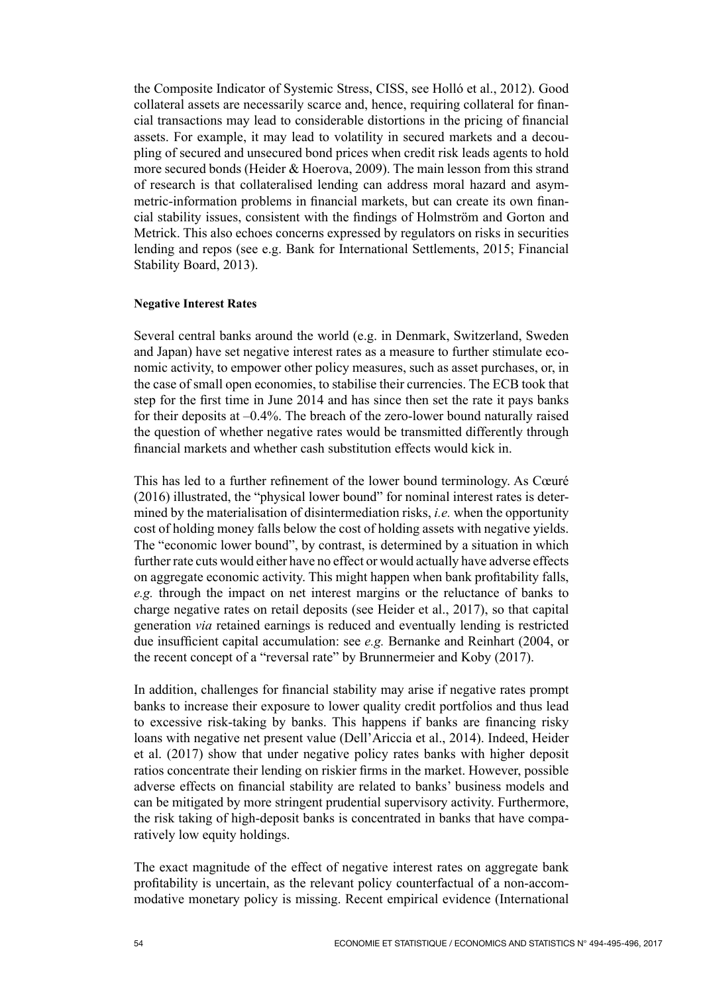the Composite Indicator of Systemic Stress, CISS, see Holló et al., 2012). Good collateral assets are necessarily scarce and, hence, requiring collateral for financial transactions may lead to considerable distortions in the pricing of financial assets. For example, it may lead to volatility in secured markets and a decoupling of secured and unsecured bond prices when credit risk leads agents to hold more secured bonds (Heider & Hoerova, 2009). The main lesson from this strand of research is that collateralised lending can address moral hazard and asymmetric‑information problems in financial markets, but can create its own financial stability issues, consistent with the findings of Holmström and Gorton and Metrick. This also echoes concerns expressed by regulators on risks in securities lending and repos (see e.g. Bank for International Settlements, 2015; Financial Stability Board, 2013).

## **Negative Interest Rates**

Several central banks around the world (e.g. in Denmark, Switzerland, Sweden and Japan) have set negative interest rates as a measure to further stimulate economic activity, to empower other policy measures, such as asset purchases, or, in the case of small open economies, to stabilise their currencies. The ECB took that step for the first time in June 2014 and has since then set the rate it pays banks for their deposits at  $-0.4\%$ . The breach of the zero-lower bound naturally raised the question of whether negative rates would be transmitted differently through financial markets and whether cash substitution effects would kick in.

This has led to a further refinement of the lower bound terminology. As Cœuré (2016) illustrated, the "physical lower bound" for nominal interest rates is determined by the materialisation of disintermediation risks, *i.e.* when the opportunity cost of holding money falls below the cost of holding assets with negative yields. The "economic lower bound", by contrast, is determined by a situation in which further rate cuts would either have no effect or would actually have adverse effects on aggregate economic activity. This might happen when bank profitability falls, *e.g.* through the impact on net interest margins or the reluctance of banks to charge negative rates on retail deposits (see Heider et al., 2017), so that capital generation *via* retained earnings is reduced and eventually lending is restricted due insufficient capital accumulation: see *e.g.* Bernanke and Reinhart (2004, or the recent concept of a "reversal rate" by Brunnermeier and Koby (2017).

In addition, challenges for financial stability may arise if negative rates prompt banks to increase their exposure to lower quality credit portfolios and thus lead to excessive risk‑taking by banks. This happens if banks are financing risky loans with negative net present value (Dell'Ariccia et al., 2014). Indeed, Heider et al. (2017) show that under negative policy rates banks with higher deposit ratios concentrate their lending on riskier firms in the market. However, possible adverse effects on financial stability are related to banks' business models and can be mitigated by more stringent prudential supervisory activity. Furthermore, the risk taking of high-deposit banks is concentrated in banks that have comparatively low equity holdings.

The exact magnitude of the effect of negative interest rates on aggregate bank profitability is uncertain, as the relevant policy counterfactual of a non‑accommodative monetary policy is missing. Recent empirical evidence (International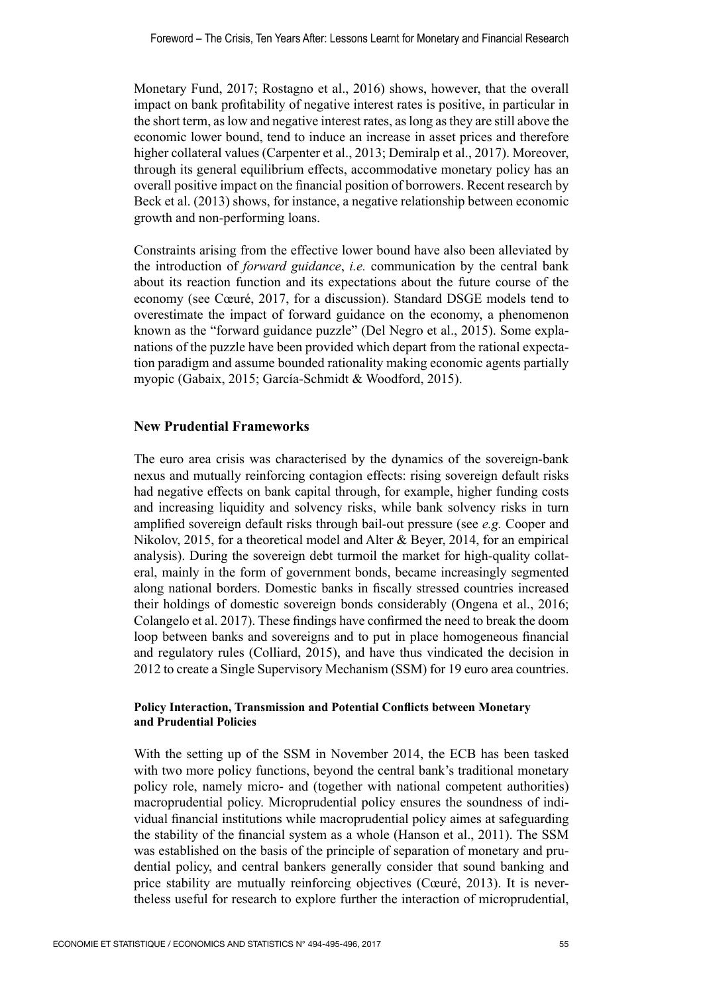Monetary Fund, 2017; Rostagno et al., 2016) shows, however, that the overall impact on bank profitability of negative interest rates is positive, in particular in the short term, as low and negative interest rates, as long as they are still above the economic lower bound, tend to induce an increase in asset prices and therefore higher collateral values (Carpenter et al., 2013; Demiralp et al., 2017). Moreover, through its general equilibrium effects, accommodative monetary policy has an overall positive impact on the financial position of borrowers. Recent research by Beck et al. (2013) shows, for instance, a negative relationship between economic growth and non‑performing loans.

Constraints arising from the effective lower bound have also been alleviated by the introduction of *forward guidance*, *i.e.* communication by the central bank about its reaction function and its expectations about the future course of the economy (see Cœuré, 2017, for a discussion). Standard DSGE models tend to overestimate the impact of forward guidance on the economy, a phenomenon known as the "forward guidance puzzle" (Del Negro et al., 2015). Some explanations of the puzzle have been provided which depart from the rational expectation paradigm and assume bounded rationality making economic agents partially myopic (Gabaix, 2015; García‑Schmidt & Woodford, 2015).

# **New Prudential Frameworks**

The euro area crisis was characterised by the dynamics of the sovereign-bank nexus and mutually reinforcing contagion effects: rising sovereign default risks had negative effects on bank capital through, for example, higher funding costs and increasing liquidity and solvency risks, while bank solvency risks in turn amplified sovereign default risks through bail‑out pressure (see *e.g.* Cooper and Nikolov, 2015, for a theoretical model and Alter & Beyer, 2014, for an empirical analysis). During the sovereign debt turmoil the market for high-quality collateral, mainly in the form of government bonds, became increasingly segmented along national borders. Domestic banks in fiscally stressed countries increased their holdings of domestic sovereign bonds considerably (Ongena et al., 2016; Colangelo et al. 2017). These findings have confirmed the need to break the doom loop between banks and sovereigns and to put in place homogeneous financial and regulatory rules (Colliard, 2015), and have thus vindicated the decision in 2012 to create a Single Supervisory Mechanism (SSM) for 19 euro area countries.

## **Policy Interaction, Transmission and Potential Conflicts between Monetary and Prudential Policies**

With the setting up of the SSM in November 2014, the ECB has been tasked with two more policy functions, beyond the central bank's traditional monetary policy role, namely micro‑ and (together with national competent authorities) macroprudential policy. Microprudential policy ensures the soundness of individual financial institutions while macroprudential policy aimes at safeguarding the stability of the financial system as a whole (Hanson et al., 2011). The SSM was established on the basis of the principle of separation of monetary and prudential policy, and central bankers generally consider that sound banking and price stability are mutually reinforcing objectives (Cœuré, 2013). It is nevertheless useful for research to explore further the interaction of microprudential,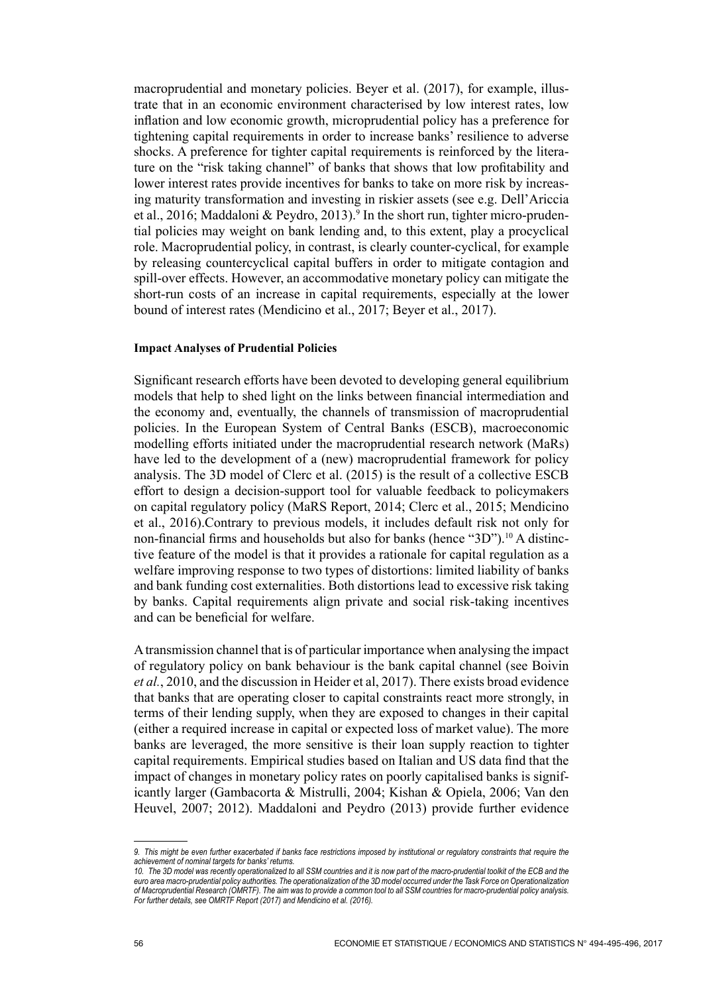macroprudential and monetary policies. Beyer et al. (2017), for example, illustrate that in an economic environment characterised by low interest rates, low inflation and low economic growth, microprudential policy has a preference for tightening capital requirements in order to increase banks' resilience to adverse shocks. A preference for tighter capital requirements is reinforced by the literature on the "risk taking channel" of banks that shows that low profitability and lower interest rates provide incentives for banks to take on more risk by increasing maturity transformation and investing in riskier assets (see e.g. Dell'Ariccia et al., 2016; Maddaloni & Peydro, 2013).<sup>9</sup> In the short run, tighter micro-prudential policies may weight on bank lending and, to this extent, play a procyclical role. Macroprudential policy, in contrast, is clearly counter-cyclical, for example by releasing countercyclical capital buffers in order to mitigate contagion and spill-over effects. However, an accommodative monetary policy can mitigate the short-run costs of an increase in capital requirements, especially at the lower bound of interest rates (Mendicino et al., 2017; Beyer et al., 2017).

#### **Impact Analyses of Prudential Policies**

Significant research efforts have been devoted to developing general equilibrium models that help to shed light on the links between financial intermediation and the economy and, eventually, the channels of transmission of macroprudential policies. In the European System of Central Banks (ESCB), macroeconomic modelling efforts initiated under the macroprudential research network (MaRs) have led to the development of a (new) macroprudential framework for policy analysis. The 3D model of Clerc et al. (2015) is the result of a collective ESCB effort to design a decision‑support tool for valuable feedback to policymakers on capital regulatory policy (MaRS Report, 2014; Clerc et al., 2015; Mendicino et al., 2016).Contrary to previous models, it includes default risk not only for non-financial firms and households but also for banks (hence "3D").<sup>10</sup> A distinctive feature of the model is that it provides a rationale for capital regulation as a welfare improving response to two types of distortions: limited liability of banks and bank funding cost externalities. Both distortions lead to excessive risk taking by banks. Capital requirements align private and social risk‑taking incentives and can be beneficial for welfare.

A transmission channel that is of particular importance when analysing the impact of regulatory policy on bank behaviour is the bank capital channel (see Boivin *et al.*, 2010, and the discussion in Heider et al, 2017). There exists broad evidence that banks that are operating closer to capital constraints react more strongly, in terms of their lending supply, when they are exposed to changes in their capital (either a required increase in capital or expected loss of market value). The more banks are leveraged, the more sensitive is their loan supply reaction to tighter capital requirements. Empirical studies based on Italian and US data find that the impact of changes in monetary policy rates on poorly capitalised banks is significantly larger (Gambacorta & Mistrulli, 2004; Kishan & Opiela, 2006; Van den Heuvel, 2007; 2012). Maddaloni and Peydro (2013) provide further evidence

*<sup>9.</sup> This might be even further exacerbated if banks face restrictions imposed by institutional or regulatory constraints that require the achievement of nominal targets for banks' returns.*

*<sup>10.</sup> The 3D model was recently operationalized to all SSM countries and it is now part of the macro‑prudential toolkit of the ECB and the euro area macro‑prudential policy authorities. The operationalization of the 3D model occurred under the Task Force on Operationalization of Macroprudential Research (OMRTF). The aim was to provide a common tool to all SSM countries for macro‑prudential policy analysis. For further details, see OMRTF Report (2017) and Mendicino et al. (2016).*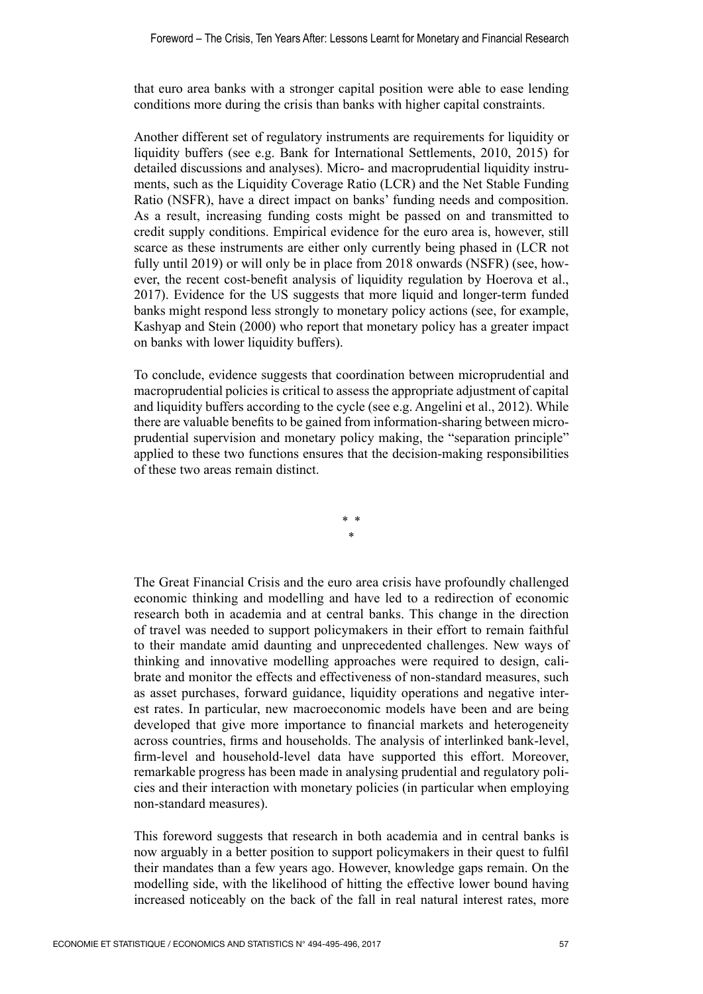that euro area banks with a stronger capital position were able to ease lending conditions more during the crisis than banks with higher capital constraints.

Another different set of regulatory instruments are requirements for liquidity or liquidity buffers (see e.g. Bank for International Settlements, 2010, 2015) for detailed discussions and analyses). Micro- and macroprudential liquidity instruments, such as the Liquidity Coverage Ratio (LCR) and the Net Stable Funding Ratio (NSFR), have a direct impact on banks' funding needs and composition. As a result, increasing funding costs might be passed on and transmitted to credit supply conditions. Empirical evidence for the euro area is, however, still scarce as these instruments are either only currently being phased in (LCR not fully until 2019) or will only be in place from 2018 onwards (NSFR) (see, however, the recent cost-benefit analysis of liquidity regulation by Hoerova et al., 2017). Evidence for the US suggests that more liquid and longer-term funded banks might respond less strongly to monetary policy actions (see, for example, Kashyap and Stein (2000) who report that monetary policy has a greater impact on banks with lower liquidity buffers).

To conclude, evidence suggests that coordination between microprudential and macroprudential policies is critical to assess the appropriate adjustment of capital and liquidity buffers according to the cycle (see e.g. Angelini et al., 2012). While there are valuable benefits to be gained from information‑sharing between microprudential supervision and monetary policy making, the "separation principle" applied to these two functions ensures that the decision‑making responsibilities of these two areas remain distinct.

> \* \* \*

The Great Financial Crisis and the euro area crisis have profoundly challenged economic thinking and modelling and have led to a redirection of economic research both in academia and at central banks. This change in the direction of travel was needed to support policymakers in their effort to remain faithful to their mandate amid daunting and unprecedented challenges. New ways of thinking and innovative modelling approaches were required to design, calibrate and monitor the effects and effectiveness of non‑standard measures, such as asset purchases, forward guidance, liquidity operations and negative interest rates. In particular, new macroeconomic models have been and are being developed that give more importance to financial markets and heterogeneity across countries, firms and households. The analysis of interlinked bank‑level, firm-level and household-level data have supported this effort. Moreover, remarkable progress has been made in analysing prudential and regulatory policies and their interaction with monetary policies (in particular when employing non‑standard measures).

This foreword suggests that research in both academia and in central banks is now arguably in a better position to support policymakers in their quest to fulfil their mandates than a few years ago. However, knowledge gaps remain. On the modelling side, with the likelihood of hitting the effective lower bound having increased noticeably on the back of the fall in real natural interest rates, more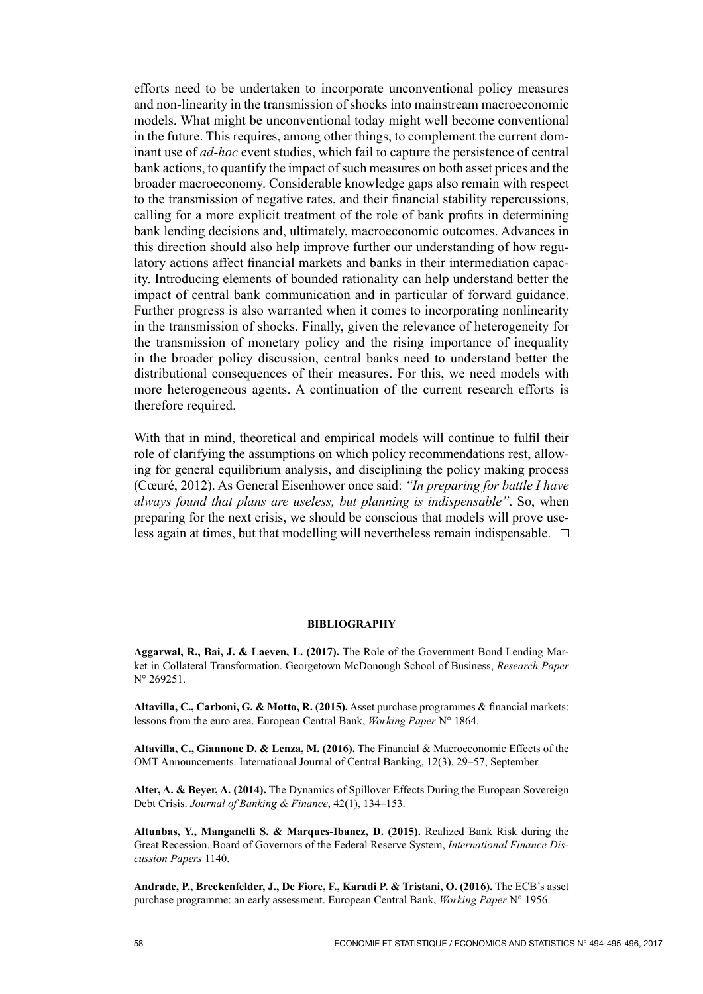efforts need to be undertaken to incorporate unconventional policy measures and non-linearity in the transmission of shocks into mainstream macroeconomic models. What might be unconventional today might well become conventional in the future. This requires, among other things, to complement the current dominant use of *ad‑hoc* event studies, which fail to capture the persistence of central bank actions, to quantify the impact of such measures on both asset prices and the broader macroeconomy. Considerable knowledge gaps also remain with respect to the transmission of negative rates, and their financial stability repercussions, calling for a more explicit treatment of the role of bank profits in determining bank lending decisions and, ultimately, macroeconomic outcomes. Advances in this direction should also help improve further our understanding of how regulatory actions affect financial markets and banks in their intermediation capacity. Introducing elements of bounded rationality can help understand better the impact of central bank communication and in particular of forward guidance. Further progress is also warranted when it comes to incorporating nonlinearity in the transmission of shocks. Finally, given the relevance of heterogeneity for the transmission of monetary policy and the rising importance of inequality in the broader policy discussion, central banks need to understand better the distributional consequences of their measures. For this, we need models with more heterogeneous agents. A continuation of the current research efforts is therefore required.

With that in mind, theoretical and empirical models will continue to fulfil their role of clarifying the assumptions on which policy recommendations rest, allowing for general equilibrium analysis, and disciplining the policy making process (Cœuré, 2012). As General Eisenhower once said: *"In preparing for battle I have always found that plans are useless, but planning is indispensable"*. So, when preparing for the next crisis, we should be conscious that models will prove useless again at times, but that modelling will nevertheless remain indispensable.  $\Box$ 

#### **BIBLIOGRAPHY**

**Aggarwal, R., Bai, J. & Laeven, L. (2017).** The Role of the Government Bond Lending Market in Collateral Transformation. Georgetown McDonough School of Business, *Research Paper* N° 269251.

**Altavilla, C., Carboni, G. & Motto, R. (2015).** Asset purchase programmes & financial markets: lessons from the euro area. European Central Bank, *Working Paper* N° 1864.

**Altavilla, C., Giannone D. & Lenza, M. (2016).** The Financial & Macroeconomic Effects of the OMT Announcements. International Journal of Central Banking, 12(3), 29–57, September.

**Alter, A. & Beyer, A. (2014).** The Dynamics of Spillover Effects During the European Sovereign Debt Crisis. *Journal of Banking & Finance*, 42(1), 134–153.

**Altunbas, Y., Manganelli S. & Marques‑Ibanez, D. (2015).** Realized Bank Risk during the Great Recession. Board of Governors of the Federal Reserve System, *International Finance Discussion Papers* 1140.

**Andrade, P., Breckenfelder, J., De Fiore, F., Karadi P. & Tristani, O. (2016).** The ECB's asset purchase programme: an early assessment. European Central Bank, *Working Paper* N° 1956.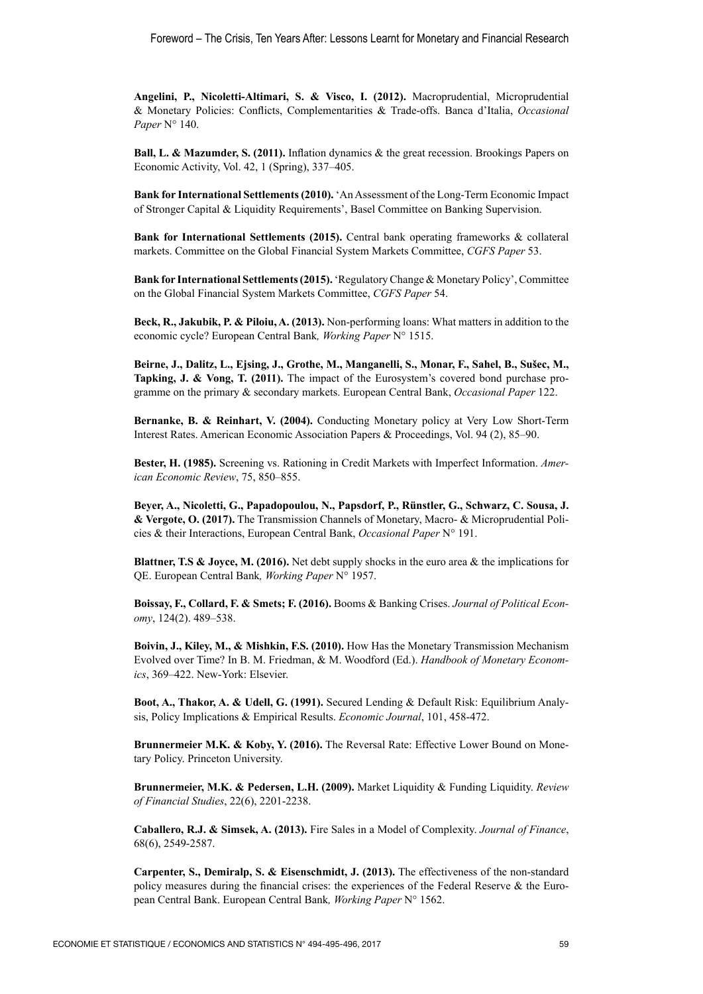**Angelini, P., Nicoletti‑Altimari, S. & Visco, I. (2012).** Macroprudential, Microprudential & Monetary Policies: Conflicts, Complementarities & Trade‑offs. Banca d'Italia, *Occasional Paper* N° 140.

**Ball, L. & Mazumder, S. (2011).** Inflation dynamics & the great recession. Brookings Papers on Economic Activity, Vol. 42, 1 (Spring), 337–405.

**Bank for International Settlements (2010).** 'An Assessment of the Long-Term Economic Impact of Stronger Capital & Liquidity Requirements', Basel Committee on Banking Supervision.

**Bank for International Settlements (2015).** Central bank operating frameworks & collateral markets. Committee on the Global Financial System Markets Committee, *CGFS Paper* 53.

**Bank for International Settlements (2015).** 'Regulatory Change & Monetary Policy', Committee on the Global Financial System Markets Committee, *CGFS Paper* 54.

Beck, R., Jakubik, P. & Piloiu, A. (2013). Non-performing loans: What matters in addition to the economic cycle? European Central Bank*, Working Paper* N° 1515.

**Beirne, J., Dalitz, L., Ejsing, J., Grothe, M., Manganelli, S., Monar, F., Sahel, B., Sušec, M., Tapking, J. & Vong, T. (2011).** The impact of the Eurosystem's covered bond purchase programme on the primary & secondary markets. European Central Bank, *Occasional Paper* 122.

Bernanke, B. & Reinhart, V. (2004). Conducting Monetary policy at Very Low Short-Term Interest Rates. American Economic Association Papers & Proceedings, Vol. 94 (2), 85–90.

**Bester, H. (1985).** Screening vs. Rationing in Credit Markets with Imperfect Information. *American Economic Review*, 75, 850–855.

**Beyer, A., Nicoletti, G., Papadopoulou, N., Papsdorf, P., Rünstler, G., Schwarz, C. Sousa, J. & Vergote, O. (2017).** The Transmission Channels of Monetary, Macro‑ & Microprudential Policies & their Interactions, European Central Bank, *Occasional Paper* N° 191.

**Blattner, T.S & Joyce, M. (2016).** Net debt supply shocks in the euro area & the implications for QE. European Central Bank*, Working Paper* N° 1957.

**Boissay, F., Collard, F. & Smets; F. (2016).** Booms & Banking Crises. *Journal of Political Economy*, 124(2). 489–538.

**Boivin, J., Kiley, M., & Mishkin, F.S. (2010).** How Has the Monetary Transmission Mechanism Evolved over Time? In B. M. Friedman, & M. Woodford (Ed.). *Handbook of Monetary Economics*, 369–422. New‑York: Elsevier.

**Boot, A., Thakor, A. & Udell, G. (1991).** Secured Lending & Default Risk: Equilibrium Analysis, Policy Implications & Empirical Results. *Economic Journal*, 101, 458‑472.

**Brunnermeier M.K. & Koby, Y. (2016).** The Reversal Rate: Effective Lower Bound on Monetary Policy. Princeton University.

**Brunnermeier, M.K. & Pedersen, L.H. (2009).** Market Liquidity & Funding Liquidity. *Review of Financial Studies*, 22(6), 2201‑2238.

**Caballero, R.J. & Simsek, A. (2013).** Fire Sales in a Model of Complexity. *Journal of Finance*, 68(6), 2549‑2587.

**Carpenter, S., Demiralp, S. & Eisenschmidt, J. (2013).** The effectiveness of the non-standard policy measures during the financial crises: the experiences of the Federal Reserve  $\&$  the European Central Bank. European Central Bank*, Working Paper* N° 1562.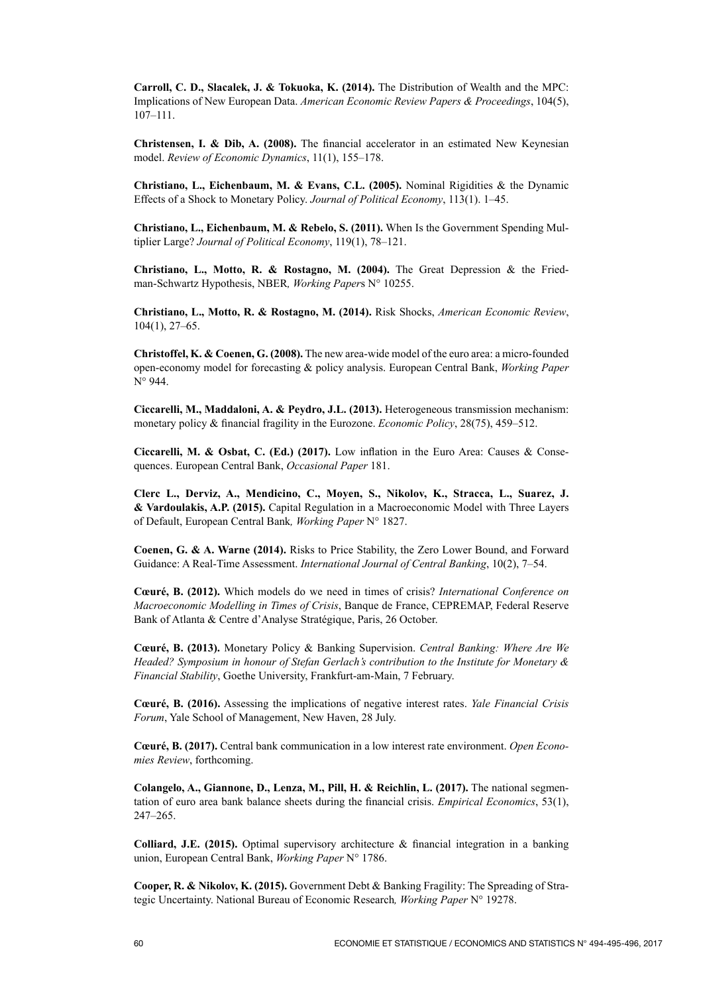**Carroll, C. D., Slacalek, J. & Tokuoka, K. (2014).** The Distribution of Wealth and the MPC: Implications of New European Data. *American Economic Review Papers & Proceedings*, 104(5), 107–111.

**Christensen, I. & Dib, A. (2008).** The financial accelerator in an estimated New Keynesian model. *Review of Economic Dynamics*, 11(1), 155–178.

**Christiano, L., Eichenbaum, M. & Evans, C.L. (2005).** Nominal Rigidities & the Dynamic Effects of a Shock to Monetary Policy. *Journal of Political Economy*, 113(1). 1–45.

**Christiano, L., Eichenbaum, M. & Rebelo, S. (2011).** When Is the Government Spending Multiplier Large? *Journal of Political Economy*, 119(1), 78–121.

**Christiano, L., Motto, R. & Rostagno, M. (2004).** The Great Depression & the Friedman‑Schwartz Hypothesis, NBER*, Working Paper*s N° 10255.

**Christiano, L., Motto, R. & Rostagno, M. (2014).** Risk Shocks, *American Economic Review*, 104(1), 27–65.

**Christoffel, K. & Coenen, G. (2008).** The new area-wide model of the euro area: a micro-founded open-economy model for forecasting & policy analysis. European Central Bank, *Working Paper*  N° 944.

**Ciccarelli, M., Maddaloni, A. & Peydro, J.L. (2013).** Heterogeneous transmission mechanism: monetary policy & financial fragility in the Eurozone. *Economic Policy*, 28(75), 459–512.

**Ciccarelli, M. & Osbat, C. (Ed.) (2017).** Low inflation in the Euro Area: Causes & Consequences. European Central Bank, *Occasional Paper* 181.

**Clerc L., Derviz, A., Mendicino, C., Moyen, S., Nikolov, K., Stracca, L., Suarez, J. & Vardoulakis, A.P. (2015).** Capital Regulation in a Macroeconomic Model with Three Layers of Default, European Central Bank*, Working Paper* N° 1827.

**Coenen, G. & A. Warne (2014).** Risks to Price Stability, the Zero Lower Bound, and Forward Guidance: A Real-Time Assessment. *International Journal of Central Banking*, 10(2), 7–54.

**Cœuré, B. (2012).** Which models do we need in times of crisis? *International Conference on Macroeconomic Modelling in Times of Crisis*, Banque de France, CEPREMAP, Federal Reserve Bank of Atlanta & Centre d'Analyse Stratégique, Paris, 26 October.

**Cœuré, B. (2013).** Monetary Policy & Banking Supervision. *Central Banking: Where Are We Headed? Symposium in honour of Stefan Gerlach's contribution to the Institute for Monetary & Financial Stability*, Goethe University, Frankfurt‑am‑Main, 7 February.

**Cœuré, B. (2016).** Assessing the implications of negative interest rates. *Yale Financial Crisis Forum*, Yale School of Management, New Haven, 28 July.

**Cœuré, B. (2017).** Central bank communication in a low interest rate environment. *Open Economies Review*, forthcoming.

**Colangelo, A., Giannone, D., Lenza, M., Pill, H. & Reichlin, L. (2017).** The national segmentation of euro area bank balance sheets during the financial crisis. *Empirical Economics*, 53(1), 247–265.

**Colliard, J.E. (2015).** Optimal supervisory architecture & financial integration in a banking union, European Central Bank, *Working Paper* N° 1786.

**Cooper, R. & Nikolov, K. (2015).** Government Debt & Banking Fragility: The Spreading of Strategic Uncertainty. National Bureau of Economic Research*, Working Paper* N° 19278.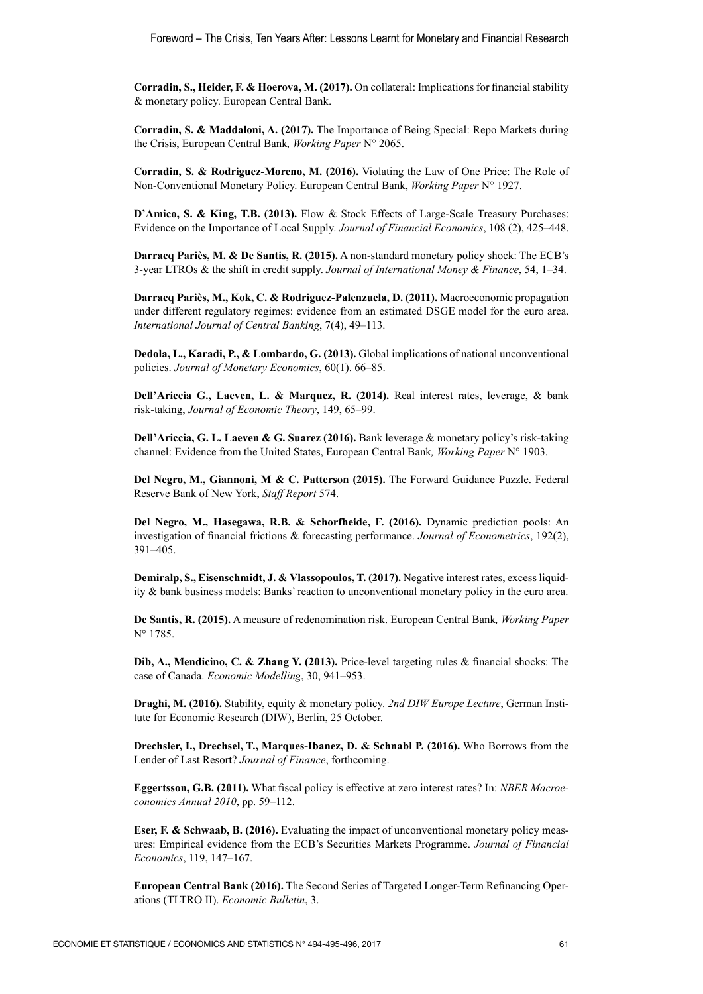**Corradin, S., Heider, F. & Hoerova, M. (2017).** On collateral: Implications for financial stability & monetary policy. European Central Bank.

**Corradin, S. & Maddaloni, A. (2017).** The Importance of Being Special: Repo Markets during the Crisis, European Central Bank*, Working Paper* N° 2065.

**Corradin, S. & Rodriguez‑Moreno, M. (2016).** Violating the Law of One Price: The Role of Non‑Conventional Monetary Policy. European Central Bank, *Working Paper* N° 1927.

**D'Amico, S. & King, T.B. (2013).** Flow & Stock Effects of Large-Scale Treasury Purchases: Evidence on the Importance of Local Supply. *Journal of Financial Economics*, 108 (2), 425–448.

**Darracq Pariès, M. & De Santis, R. (2015).** A non‑standard monetary policy shock: The ECB's 3‑year LTROs & the shift in credit supply. *Journal of International Money & Finance*, 54, 1–34.

**Darracq Pariès, M., Kok, C. & Rodriguez‑Palenzuela, D. (2011).** Macroeconomic propagation under different regulatory regimes: evidence from an estimated DSGE model for the euro area. *International Journal of Central Banking*, 7(4), 49–113.

**Dedola, L., Karadi, P., & Lombardo, G. (2013).** Global implications of national unconventional policies. *Journal of Monetary Economics*, 60(1). 66–85.

**Dell'Ariccia G., Laeven, L. & Marquez, R. (2014).** Real interest rates, leverage, & bank risk‑taking, *Journal of Economic Theory*, 149, 65–99.

**Dell'Ariccia, G. L. Laeven & G. Suarez (2016).** Bank leverage & monetary policy's risk-taking channel: Evidence from the United States, European Central Bank*, Working Paper* N° 1903.

**Del Negro, M., Giannoni, M & C. Patterson (2015).** The Forward Guidance Puzzle. Federal Reserve Bank of New York, *Staff Report* 574.

**Del Negro, M., Hasegawa, R.B. & Schorfheide, F. (2016).** Dynamic prediction pools: An investigation of financial frictions & forecasting performance. *Journal of Econometrics*, 192(2), 391–405.

**Demiralp, S., Eisenschmidt, J. & Vlassopoulos, T. (2017).** Negative interest rates, excess liquidity & bank business models: Banks' reaction to unconventional monetary policy in the euro area.

**De Santis, R. (2015).** A measure of redenomination risk. European Central Bank*, Working Paper* N° 1785.

**Dib, A., Mendicino, C. & Zhang Y. (2013).** Price-level targeting rules & financial shocks: The case of Canada. *Economic Modelling*, 30, 941–953.

**Draghi, M. (2016).** Stability, equity & monetary policy. *2nd DIW Europe Lecture*, German Institute for Economic Research (DIW), Berlin, 25 October.

**Drechsler, I., Drechsel, T., Marques‑Ibanez, D. & Schnabl P. (2016).** Who Borrows from the Lender of Last Resort? *Journal of Finance*, forthcoming.

**Eggertsson, G.B. (2011).** What fiscal policy is effective at zero interest rates? In: *NBER Macroeconomics Annual 2010*, pp. 59–112.

**Eser, F. & Schwaab, B. (2016).** Evaluating the impact of unconventional monetary policy measures: Empirical evidence from the ECB's Securities Markets Programme. *Journal of Financial Economics*, 119, 147–167.

**European Central Bank (2016).** The Second Series of Targeted Longer‑Term Refinancing Operations (TLTRO II). *Economic Bulletin*, 3.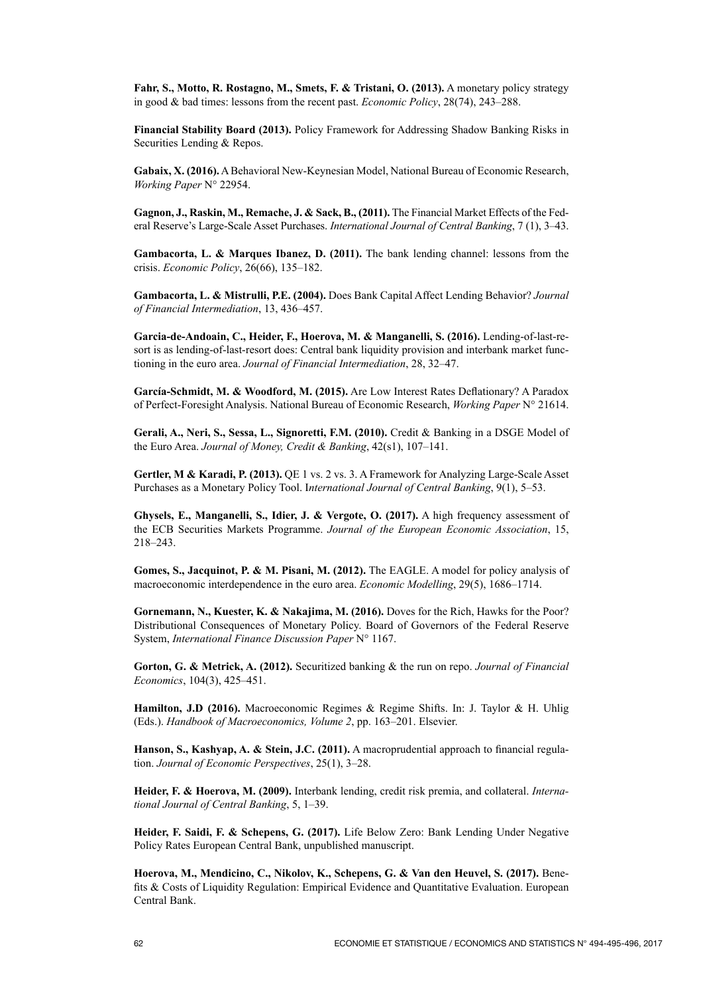**Fahr, S., Motto, R. Rostagno, M., Smets, F. & Tristani, O. (2013).** A monetary policy strategy in good & bad times: lessons from the recent past. *Economic Policy*, 28(74), 243–288.

**Financial Stability Board (2013).** Policy Framework for Addressing Shadow Banking Risks in Securities Lending & Repos.

**Gabaix, X. (2016).** A Behavioral New‑Keynesian Model, National Bureau of Economic Research, *Working Paper* N° 22954.

**Gagnon, J., Raskin, M., Remache, J. & Sack, B., (2011).** The Financial Market Effects of the Federal Reserve's Large‑Scale Asset Purchases. *International Journal of Central Banking*, 7 (1), 3–43.

**Gambacorta, L. & Marques Ibanez, D. (2011).** The bank lending channel: lessons from the crisis. *Economic Policy*, 26(66), 135–182.

**Gambacorta, L. & Mistrulli, P.E. (2004).** Does Bank Capital Affect Lending Behavior? *Journal of Financial Intermediation*, 13, 436–457.

**Garcia‑de‑Andoain, C., Heider, F., Hoerova, M. & Manganelli, S. (2016).** Lending‑of‑last‑resort is as lending-of-last-resort does: Central bank liquidity provision and interbank market functioning in the euro area. *Journal of Financial Intermediation*, 28, 32–47.

**García‑Schmidt, M. & Woodford, M. (2015).** Are Low Interest Rates Deflationary? A Paradox of Perfect‑Foresight Analysis. National Bureau of Economic Research, *Working Paper* N° 21614.

**Gerali, A., Neri, S., Sessa, L., Signoretti, F.M. (2010).** Credit & Banking in a DSGE Model of the Euro Area. *Journal of Money, Credit & Banking*, 42(s1), 107–141.

Gertler, M & Karadi, P. (2013). OE 1 vs. 2 vs. 3. A Framework for Analyzing Large-Scale Asset Purchases as a Monetary Policy Tool. I*nternational Journal of Central Banking*, 9(1), 5–53.

**Ghysels, E., Manganelli, S., Idier, J. & Vergote, O. (2017).** A high frequency assessment of the ECB Securities Markets Programme. *Journal of the European Economic Association*, 15, 218–243.

**Gomes, S., Jacquinot, P. & M. Pisani, M. (2012).** The EAGLE. A model for policy analysis of macroeconomic interdependence in the euro area. *Economic Modelling*, 29(5), 1686–1714.

**Gornemann, N., Kuester, K. & Nakajima, M. (2016).** Doves for the Rich, Hawks for the Poor? Distributional Consequences of Monetary Policy. Board of Governors of the Federal Reserve System, *International Finance Discussion Paper* N° 1167.

**Gorton, G. & Metrick, A. (2012).** Securitized banking & the run on repo. *Journal of Financial Economics*, 104(3), 425–451.

**Hamilton, J.D (2016).** Macroeconomic Regimes & Regime Shifts. In: J. Taylor & H. Uhlig (Eds.). *Handbook of Macroeconomics, Volume 2*, pp. 163–201. Elsevier.

**Hanson, S., Kashyap, A. & Stein, J.C. (2011).** A macroprudential approach to financial regulation. *Journal of Economic Perspectives*, 25(1), 3–28.

**Heider, F. & Hoerova, M. (2009).** Interbank lending, credit risk premia, and collateral. *International Journal of Central Banking*, 5, 1–39.

**Heider, F. Saidi, F. & Schepens, G. (2017).** Life Below Zero: Bank Lending Under Negative Policy Rates European Central Bank, unpublished manuscript.

**Hoerova, M., Mendicino, C., Nikolov, K., Schepens, G. & Van den Heuvel, S. (2017).** Benefits & Costs of Liquidity Regulation: Empirical Evidence and Quantitative Evaluation. European Central Bank.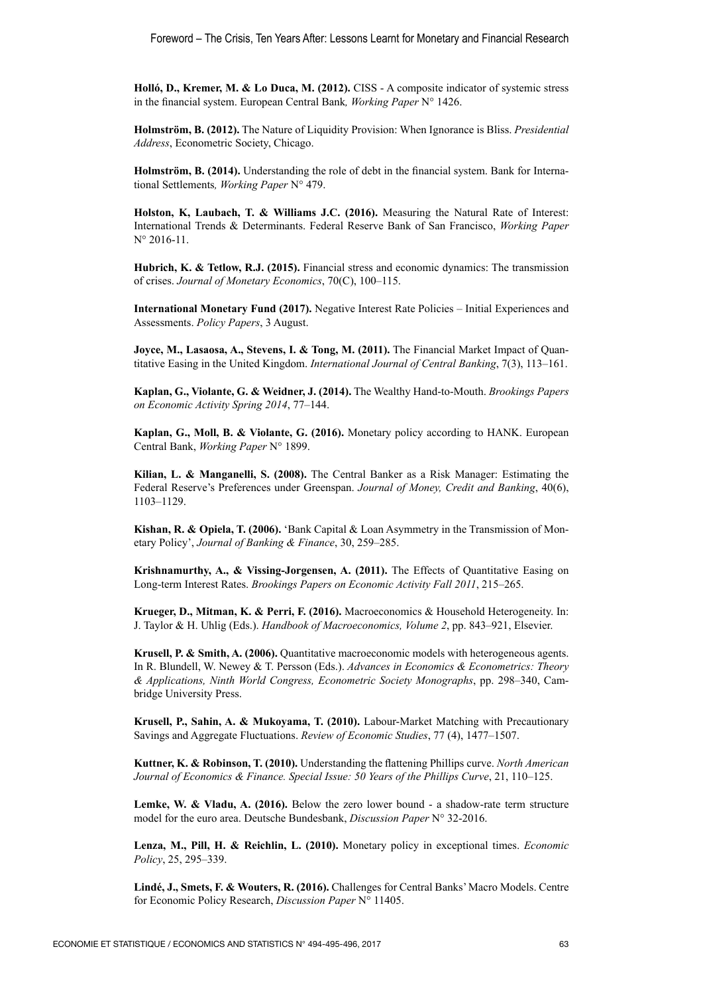**Holló, D., Kremer, M. & Lo Duca, M. (2012).** CISS ‑ A composite indicator of systemic stress in the financial system. European Central Bank*, Working Paper* N° 1426.

**Holmström, B. (2012).** The Nature of Liquidity Provision: When Ignorance is Bliss. *Presidential Address*, Econometric Society, Chicago.

**Holmström, B. (2014).** Understanding the role of debt in the financial system. Bank for International Settlements*, Working Paper* N° 479.

**Holston, K, Laubach, T. & Williams J.C. (2016).** Measuring the Natural Rate of Interest: International Trends & Determinants. Federal Reserve Bank of San Francisco, *Working Paper* N° 2016-11.

**Hubrich, K. & Tetlow, R.J. (2015).** Financial stress and economic dynamics: The transmission of crises. *Journal of Monetary Economics*, 70(C), 100–115.

**International Monetary Fund (2017).** Negative Interest Rate Policies – Initial Experiences and Assessments. *Policy Papers*, 3 August.

**Joyce, M., Lasaosa, A., Stevens, I. & Tong, M. (2011).** The Financial Market Impact of Quantitative Easing in the United Kingdom. *International Journal of Central Banking*, 7(3), 113–161.

**Kaplan, G., Violante, G. & Weidner, J. (2014).** The Wealthy Hand‑to‑Mouth. *Brookings Papers on Economic Activity Spring 2014*, 77–144.

**Kaplan, G., Moll, B. & Violante, G. (2016).** Monetary policy according to HANK. European Central Bank, *Working Paper* N° 1899.

**Kilian, L. & Manganelli, S. (2008).** The Central Banker as a Risk Manager: Estimating the Federal Reserve's Preferences under Greenspan. *Journal of Money, Credit and Banking*, 40(6), 1103–1129.

Kishan, R. & Opiela, T. (2006). 'Bank Capital & Loan Asymmetry in the Transmission of Monetary Policy', *Journal of Banking & Finance*, 30, 259–285.

**Krishnamurthy, A., & Vissing‑Jorgensen, A. (2011).** The Effects of Quantitative Easing on Long‑term Interest Rates. *Brookings Papers on Economic Activity Fall 2011*, 215–265.

**Krueger, D., Mitman, K. & Perri, F. (2016).** Macroeconomics & Household Heterogeneity. In: J. Taylor & H. Uhlig (Eds.). *Handbook of Macroeconomics, Volume 2*, pp. 843–921, Elsevier.

**Krusell, P. & Smith, A. (2006).** Quantitative macroeconomic models with heterogeneous agents. In R. Blundell, W. Newey & T. Persson (Eds.). *Advances in Economics & Econometrics: Theory & Applications, Ninth World Congress, Econometric Society Monographs*, pp. 298–340, Cambridge University Press.

**Krusell, P., Sahin, A. & Mukoyama, T. (2010).** Labour-Market Matching with Precautionary Savings and Aggregate Fluctuations. *Review of Economic Studies*, 77 (4), 1477–1507.

**Kuttner, K. & Robinson, T. (2010).** Understanding the flattening Phillips curve. *North American Journal of Economics & Finance. Special Issue: 50 Years of the Phillips Curve*, 21, 110–125.

Lemke, W. & Vladu, A. (2016). Below the zero lower bound - a shadow-rate term structure model for the euro area. Deutsche Bundesbank, *Discussion Paper* N° 32‑2016.

**Lenza, M., Pill, H. & Reichlin, L. (2010).** Monetary policy in exceptional times. *Economic Policy*, 25, 295–339.

**Lindé, J., Smets, F. & Wouters, R. (2016).** Challenges for Central Banks' Macro Models. Centre for Economic Policy Research, *Discussion Paper* N° 11405.